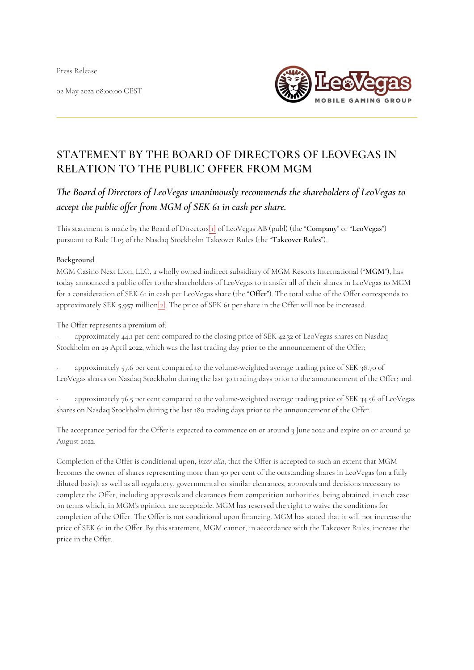Press Release

02 May 2022 08:00:00 CEST



# **STATEMENT BY THE BOARD OF DIRECTORS OF LEOVEGAS IN RELATION TO THE PUBLIC OFFER FROM MGM**

*The Board of Directors of LeoVegas unanimously recommends the shareholders of LeoVegas to accept the public offer from MGM of SEK 61 in cash per share.*

This statement is made by the Board of Director[s\[1\]](http://#_ftn1) of LeoVegas AB (publ) (the "**Company**" or "**LeoVegas**") pursuant to Rule II.19 of the Nasdaq Stockholm Takeover Rules (the "**Takeover Rules**").

#### **Background**

MGM Casino Next Lion, LLC, a wholly owned indirect subsidiary of MGM Resorts International ("**MGM**"), has today announced a public offer to the shareholders of LeoVegas to transfer all of their shares in LeoVegas to MGM for a consideration of SEK 61 in cash per LeoVegas share (the "**Offer**"). The total value of the Offer corresponds to approximately SEK 5,957 millio[n\[2\].](http://#_ftn2) The price of SEK 61 per share in the Offer will not be increased.

The Offer represents a premium of:

approximately 44.1 per cent compared to the closing price of SEK 42.32 of LeoVegas shares on Nasdaq Stockholm on 29 April 2022, which was the last trading day prior to the announcement of the Offer;

· approximately 57.6 per cent compared to the volume-weighted average trading price of SEK 38.70 of LeoVegas shares on Nasdaq Stockholm during the last 30 trading days prior to the announcement of the Offer; and

approximately 76.5 per cent compared to the volume-weighted average trading price of SEK 34.56 of LeoVegas shares on Nasdaq Stockholm during the last 180 trading days prior to the announcement of the Offer.

The acceptance period for the Offer is expected to commence on or around 3 June 2022 and expire on or around 30 August 2022.

Completion of the Offer is conditional upon, *inter alia*, that the Offer is accepted to such an extent that MGM becomes the owner of shares representing more than 90 per cent of the outstanding shares in LeoVegas (on a fully diluted basis), as well as all regulatory, governmental or similar clearances, approvals and decisions necessary to complete the Offer, including approvals and clearances from competition authorities, being obtained, in each case on terms which, in MGM's opinion, are acceptable. MGM has reserved the right to waive the conditions for completion of the Offer. The Offer is not conditional upon financing. MGM has stated that it will not increase the price of SEK 61 in the Offer. By this statement, MGM cannot, in accordance with the Takeover Rules, increase the price in the Offer.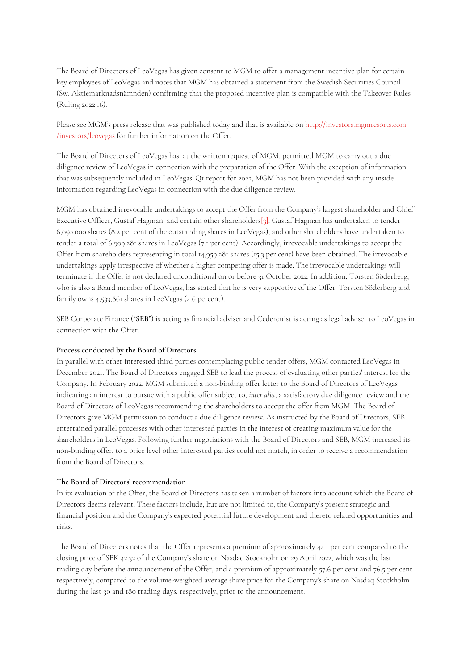The Board of Directors of LeoVegas has given consent to MGM to offer a management incentive plan for certain key employees of LeoVegas and notes that MGM has obtained a statement from the Swedish Securities Council (Sw. Aktiemarknadsnämnden) confirming that the proposed incentive plan is compatible with the Takeover Rules (Ruling 2022:16).

Please see MGM's press release that was published today and that is available on [http://investors.mgmresorts.com](http://investors.mgmresorts.com/investors/leovegas) [/investors/leovegas](http://investors.mgmresorts.com/investors/leovegas) for further information on the Offer.

The Board of Directors of LeoVegas has, at the written request of MGM, permitted MGM to carry out a due diligence review of LeoVegas in connection with the preparation of the Offer. With the exception of information that was subsequently included in LeoVegas' Q1 report for 2022, MGM has not been provided with any inside information regarding LeoVegas in connection with the due diligence review.

MGM has obtained irrevocable undertakings to accept the Offer from the Company's largest shareholder and Chief Executive Officer, Gustaf Hagman, and certain other shareholders[\[3\]](http://#_ftn3). Gustaf Hagman has undertaken to tender 8,050,000 shares (8.2 per cent of the outstanding shares in LeoVegas), and other shareholders have undertaken to tender a total of 6,909,281 shares in LeoVegas (7.1 per cent). Accordingly, irrevocable undertakings to accept the Offer from shareholders representing in total 14,959,281 shares (15.3 per cent) have been obtained. The irrevocable undertakings apply irrespective of whether a higher competing offer is made. The irrevocable undertakings will terminate if the Offer is not declared unconditional on or before 31 October 2022. In addition, Torsten Söderberg, who is also a Board member of LeoVegas, has stated that he is very supportive of the Offer. Torsten Söderberg and family owns 4,533,861 shares in LeoVegas (4.6 percent).

SEB Corporate Finance ("**SEB**") is acting as financial adviser and Cederquist is acting as legal adviser to LeoVegas in connection with the Offer.

#### **Process conducted by the Board of Directors**

In parallel with other interested third parties contemplating public tender offers, MGM contacted LeoVegas in December 2021. The Board of Directors engaged SEB to lead the process of evaluating other parties' interest for the Company. In February 2022, MGM submitted a non-binding offer letter to the Board of Directors of LeoVegas indicating an interest to pursue with a public offer subject to, *inter alia*, a satisfactory due diligence review and the Board of Directors of LeoVegas recommending the shareholders to accept the offer from MGM. The Board of Directors gave MGM permission to conduct a due diligence review. As instructed by the Board of Directors, SEB entertained parallel processes with other interested parties in the interest of creating maximum value for the shareholders in LeoVegas. Following further negotiations with the Board of Directors and SEB, MGM increased its non-binding offer, to a price level other interested parties could not match, in order to receive a recommendation from the Board of Directors.

#### **The Board of Directors' recommendation**

In its evaluation of the Offer, the Board of Directors has taken a number of factors into account which the Board of Directors deems relevant. These factors include, but are not limited to, the Company's present strategic and financial position and the Company's expected potential future development and thereto related opportunities and risks.

The Board of Directors notes that the Offer represents a premium of approximately 44.1 per cent compared to the closing price of SEK 42.32 of the Company's share on Nasdaq Stockholm on 29 April 2022, which was the last trading day before the announcement of the Offer, and a premium of approximately 57.6 per cent and 76.5 per cent respectively, compared to the volume-weighted average share price for the Company's share on Nasdaq Stockholm during the last 30 and 180 trading days, respectively, prior to the announcement.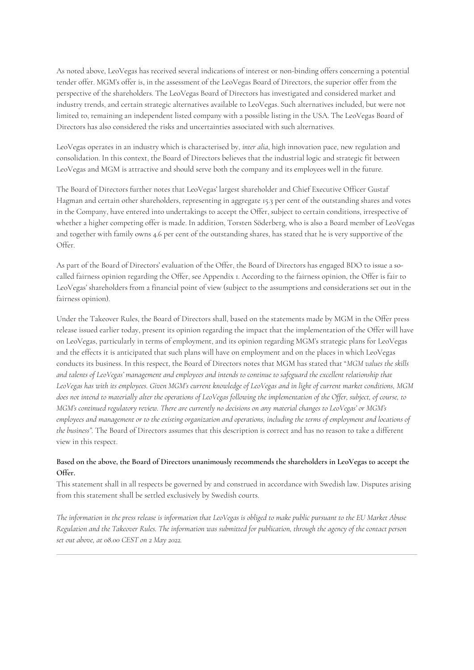As noted above, LeoVegas has received several indications of interest or non-binding offers concerning a potential tender offer. MGM's offer is, in the assessment of the LeoVegas Board of Directors, the superior offer from the perspective of the shareholders. The LeoVegas Board of Directors has investigated and considered market and industry trends, and certain strategic alternatives available to LeoVegas. Such alternatives included, but were not limited to, remaining an independent listed company with a possible listing in the USA. The LeoVegas Board of Directors has also considered the risks and uncertainties associated with such alternatives.

LeoVegas operates in an industry which is characterised by, *inter alia*, high innovation pace, new regulation and consolidation. In this context, the Board of Directors believes that the industrial logic and strategic fit between LeoVegas and MGM is attractive and should serve both the company and its employees well in the future.

The Board of Directors further notes that LeoVegas' largest shareholder and Chief Executive Officer Gustaf Hagman and certain other shareholders, representing in aggregate 15.3 per cent of the outstanding shares and votes in the Company, have entered into undertakings to accept the Offer, subject to certain conditions, irrespective of whether a higher competing offer is made. In addition, Torsten Söderberg, who is also a Board member of LeoVegas and together with family owns 4.6 per cent of the outstanding shares, has stated that he is very supportive of the Offer.

As part of the Board of Directors' evaluation of the Offer, the Board of Directors has engaged BDO to issue a socalled fairness opinion regarding the Offer, see Appendix 1. According to the fairness opinion, the Offer is fair to LeoVegas' shareholders from a financial point of view (subject to the assumptions and considerations set out in the fairness opinion).

Under the Takeover Rules, the Board of Directors shall, based on the statements made by MGM in the Offer press release issued earlier today, present its opinion regarding the impact that the implementation of the Offer will have on LeoVegas, particularly in terms of employment, and its opinion regarding MGM's strategic plans for LeoVegas and the effects it is anticipated that such plans will have on employment and on the places in which LeoVegas conducts its business. In this respect, the Board of Directors notes that MGM has stated that "*MGM values the skills and talents of LeoVegas' management and employees and intends to continue to safeguard the excellent relationship that LeoVegas has with its employees. Given MGM's current knowledge of LeoVegas and in light of current market conditions, MGM does not intend to materially alter the operations of LeoVegas following the implementation of the Offer, subject, of course, to MGM's continued regulatory review. There are currently no decisions on any material changes to LeoVegas' or MGM's employees and management or to the existing organization and operations, including the terms of employment and locations of the business".* The Board of Directors assumes that this description is correct and has no reason to take a different view in this respect.

# **Based on the above, the Board of Directors unanimously recommends the shareholders in LeoVegas to accept the Offer.**

This statement shall in all respects be governed by and construed in accordance with Swedish law. Disputes arising from this statement shall be settled exclusively by Swedish courts.

*The information in the press release is information that LeoVegas is obliged to make public pursuant to the EU Market Abuse Regulation and the Takeover Rules. The information was submitted for publication, through the agency of the contact person set out above, at 08.00 CEST on 2 May 2022.*